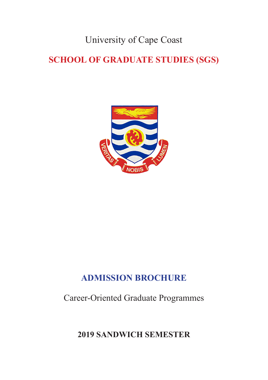University of Cape Coast

# **SCHOOL OF GRADUATE STUDIES (SGS)**



## **ADMISSION BROCHURE**

Career-Oriented Graduate Programmes

**2019 SANDWICH SEMESTER**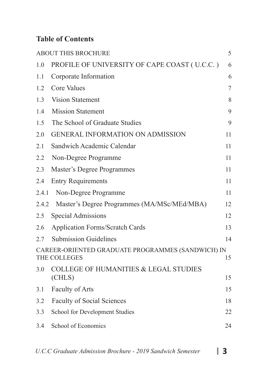## **Table of Contents**

|       | <b>ABOUT THIS BROCHURE</b>                                        | 5  |
|-------|-------------------------------------------------------------------|----|
| 1.0   | PROFILE OF UNIVERSITY OF CAPE COAST (U.C.C.)                      | 6  |
| 1.1   | Corporate Information                                             | 6  |
| 1.2   | <b>Core Values</b>                                                | 7  |
| 1.3   | <b>Vision Statement</b>                                           | 8  |
| 1.4   | <b>Mission Statement</b>                                          | 9  |
| 1.5   | The School of Graduate Studies                                    | 9  |
| 2.0   | <b>GENERAL INFORMATION ON ADMISSION</b>                           | 11 |
| 2.1   | Sandwich Academic Calendar                                        | 11 |
| 2.2   | Non-Degree Programme                                              | 11 |
| 2.3   | Master's Degree Programmes                                        | 11 |
| 2.4   | <b>Entry Requirements</b>                                         | 11 |
| 2.4.1 | Non-Degree Programme                                              | 11 |
| 2.4.2 | Master's Degree Programmes (MA/MSc/MEd/MBA)                       | 12 |
| 2.5   | Special Admissions                                                | 12 |
| 2.6   | <b>Application Forms/Scratch Cards</b>                            | 13 |
| 2.7   | <b>Submission Guidelines</b>                                      | 14 |
|       | CAREER-ORIENTED GRADUATE PROGRAMMES (SANDWICH) IN<br>THE COLLEGES | 15 |
| 3.0   | <b>COLLEGE OF HUMANITIES &amp; LEGAL STUDIES</b><br>(CHLS)        | 15 |
| 3.1   | Faculty of Arts                                                   | 15 |
| 3.2   | <b>Faculty of Social Sciences</b>                                 | 18 |
| 3.3   | School for Development Studies                                    | 22 |
| 3.4   | School of Economics                                               | 24 |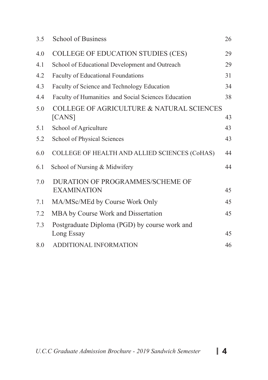| 3.5 | School of Business                                                      | 26 |
|-----|-------------------------------------------------------------------------|----|
| 4.0 | COLLEGE OF EDUCATION STUDIES (CES)                                      | 29 |
| 4.1 | School of Educational Development and Outreach                          | 29 |
| 4.2 | Faculty of Educational Foundations                                      | 31 |
| 4.3 | Faculty of Science and Technology Education                             | 34 |
| 4.4 | Faculty of Humanities and Social Sciences Education                     | 38 |
| 5.0 | <b>COLLEGE OF AGRICULTURE &amp; NATURAL SCIENCES</b><br>[ <b>CANS</b> ] | 43 |
| 5.1 | School of Agriculture                                                   | 43 |
| 5.2 | School of Physical Sciences                                             | 43 |
| 6.0 | COLLEGE OF HEALTH AND ALLIED SCIENCES (CoHAS)                           | 44 |
| 6.1 | School of Nursing & Midwifery                                           | 44 |
| 7.0 | DURATION OF PROGRAMMES/SCHEME OF<br><b>EXAMINATION</b>                  | 45 |
| 7.1 | MA/MSc/MEd by Course Work Only                                          | 45 |
| 7.2 | MBA by Course Work and Dissertation                                     | 45 |
| 7.3 | Postgraduate Diploma (PGD) by course work and<br>Long Essay             | 45 |
| 8.0 | ADDITIONAL INFORMATION                                                  | 46 |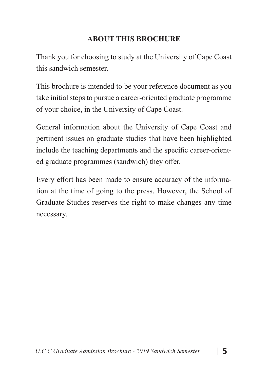#### **ABOUT THIS BROCHURE**

Thank you for choosing to study at the University of Cape Coast this sandwich semester.

This brochure is intended to be your reference document as you take initial steps to pursue a career-oriented graduate programme of your choice, in the University of Cape Coast.

General information about the University of Cape Coast and pertinent issues on graduate studies that have been highlighted include the teaching departments and the specific career-oriented graduate programmes (sandwich) they offer.

Every effort has been made to ensure accuracy of the information at the time of going to the press. However, the School of Graduate Studies reserves the right to make changes any time necessary.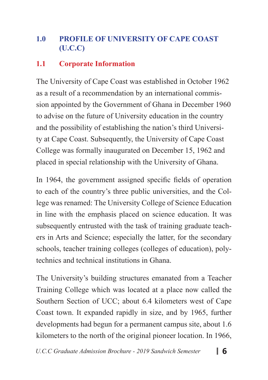## **1.0 PROFILE OF UNIVERSITY OF CAPE COAST (U.C.C)**

#### **1.1 Corporate Information**

The University of Cape Coast was established in October 1962 as a result of a recommendation by an international commission appointed by the Government of Ghana in December 1960 to advise on the future of University education in the country and the possibility of establishing the nation's third University at Cape Coast. Subsequently, the University of Cape Coast College was formally inaugurated on December 15, 1962 and placed in special relationship with the University of Ghana.

In 1964, the government assigned specific fields of operation to each of the country's three public universities, and the College was renamed: The University College of Science Education in line with the emphasis placed on science education. It was subsequently entrusted with the task of training graduate teachers in Arts and Science; especially the latter, for the secondary schools, teacher training colleges (colleges of education), polytechnics and technical institutions in Ghana.

The University's building structures emanated from a Teacher Training College which was located at a place now called the Southern Section of UCC; about 6.4 kilometers west of Cape Coast town. It expanded rapidly in size, and by 1965, further developments had begun for a permanent campus site, about 1.6 kilometers to the north of the original pioneer location. In 1966,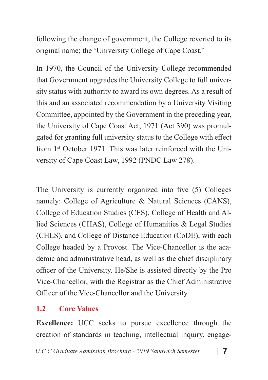following the change of government, the College reverted to its original name; the 'University College of Cape Coast.'

In 1970, the Council of the University College recommended that Government upgrades the University College to full university status with authority to award its own degrees. As a result of this and an associated recommendation by a University Visiting Committee, appointed by the Government in the preceding year, the University of Cape Coast Act, 1971 (Act 390) was promulgated for granting full university status to the College with effect from 1st October 1971. This was later reinforced with the University of Cape Coast Law, 1992 (PNDC Law 278).

The University is currently organized into five (5) Colleges namely: College of Agriculture & Natural Sciences (CANS), College of Education Studies (CES), College of Health and Allied Sciences (CHAS), College of Humanities & Legal Studies (CHLS), and College of Distance Education (CoDE), with each College headed by a Provost. The Vice-Chancellor is the academic and administrative head, as well as the chief disciplinary officer of the University. He/She is assisted directly by the Pro Vice-Chancellor, with the Registrar as the Chief Administrative Officer of the Vice-Chancellor and the University.

## **1.2 Core Values**

**Excellence:** UCC seeks to pursue excellence through the creation of standards in teaching, intellectual inquiry, engage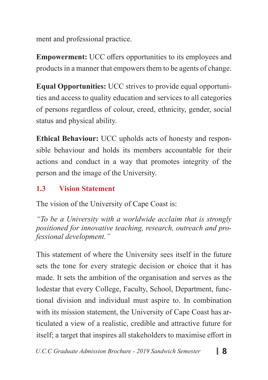ment and professional practice.

**Empowerment:** UCC offers opportunities to its employees and products in a manner that empowers them to be agents of change.

**Equal Opportunities:** UCC strives to provide equal opportunities and access to quality education and services to all categories of persons regardless of colour, creed, ethnicity, gender, social status and physical ability.

**Ethical Behaviour:** UCC upholds acts of honesty and responsible behaviour and holds its members accountable for their actions and conduct in a way that promotes integrity of the person and the image of the University.

## **1.3 Vision Statement**

The vision of the University of Cape Coast is:

*"To be a University with a worldwide acclaim that is strongly positioned for innovative teaching, research, outreach and professional development."*

This statement of where the University sees itself in the future sets the tone for every strategic decision or choice that it has made. It sets the ambition of the organisation and serves as the lodestar that every College, Faculty, School, Department, functional division and individual must aspire to. In combination with its mission statement, the University of Cape Coast has articulated a view of a realistic, credible and attractive future for itself; a target that inspires all stakeholders to maximise effort in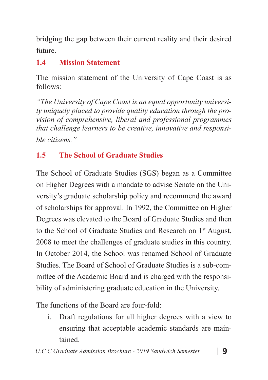bridging the gap between their current reality and their desired future.

## **1.4 Mission Statement**

The mission statement of the University of Cape Coast is as follows:

*"The University of Cape Coast is an equal opportunity university uniquely placed to provide quality education through the provision of comprehensive, liberal and professional programmes that challenge learners to be creative, innovative and responsible citizens."*

## **1.5 The School of Graduate Studies**

The School of Graduate Studies (SGS) began as a Committee on Higher Degrees with a mandate to advise Senate on the University's graduate scholarship policy and recommend the award of scholarships for approval. In 1992, the Committee on Higher Degrees was elevated to the Board of Graduate Studies and then to the School of Graduate Studies and Research on 1<sup>st</sup> August, 2008 to meet the challenges of graduate studies in this country. In October 2014, the School was renamed School of Graduate Studies. The Board of School of Graduate Studies is a sub-committee of the Academic Board and is charged with the responsibility of administering graduate education in the University.

The functions of the Board are four-fold:

i. Draft regulations for all higher degrees with a view to ensuring that acceptable academic standards are maintained.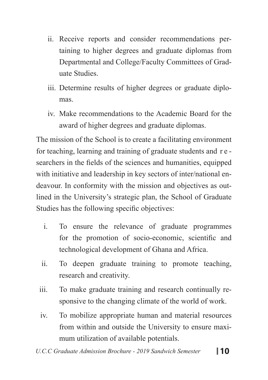- ii. Receive reports and consider recommendations pertaining to higher degrees and graduate diplomas from Departmental and College/Faculty Committees of Graduate Studies.
- iii. Determine results of higher degrees or graduate diplomas.
- iv. Make recommendations to the Academic Board for the award of higher degrees and graduate diplomas.

The mission of the School is to create a facilitating environment for teaching, learning and training of graduate students and r e searchers in the fields of the sciences and humanities, equipped with initiative and leadership in key sectors of inter/national endeavour. In conformity with the mission and objectives as outlined in the University's strategic plan, the School of Graduate Studies has the following specific objectives:

- i. To ensure the relevance of graduate programmes for the promotion of socio-economic, scientific and technological development of Ghana and Africa.
- ii. To deepen graduate training to promote teaching, research and creativity.
- iii. To make graduate training and research continually responsive to the changing climate of the world of work.
- iv. To mobilize appropriate human and material resources from within and outside the University to ensure maximum utilization of available potentials.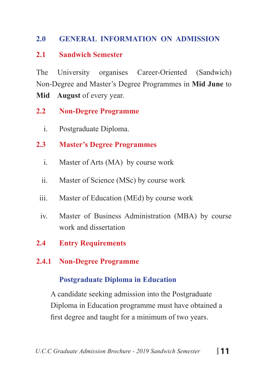### **2.0 GENERAL INFORMATION ON ADMISSION**

#### **2.1 Sandwich Semester**

The University organises Career-Oriented (Sandwich) Non-Degree and Master's Degree Programmes in **Mid June** to **Mid August** of every year.

### **2.2 Non-Degree Programme**

i. Postgraduate Diploma.

### **2.3 Master's Degree Programmes**

- i. Master of Arts (MA) by course work
- ii. Master of Science (MSc) by course work
- iii. Master of Education (MEd) by course work
- iv. Master of Business Administration (MBA) by course work and dissertation
- **2.4 Entry Requirements**

### **2.4.1 Non-Degree Programme**

### **Postgraduate Diploma in Education**

 A candidate seeking admission into the Postgraduate Diploma in Education programme must have obtained a first degree and taught for a minimum of two years.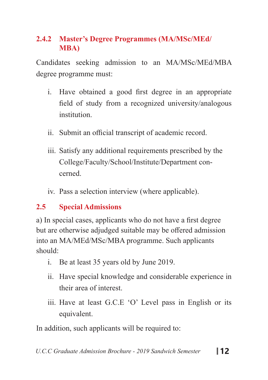## **2.4.2 Master's Degree Programmes (MA/MSc/MEd/ MBA)**

Candidates seeking admission to an MA/MSc/MEd/MBA degree programme must:

- i. Have obtained a good first degree in an appropriate field of study from a recognized university/analogous institution.
- ii. Submit an official transcript of academic record.
- iii. Satisfy any additional requirements prescribed by the College/Faculty/School/Institute/Department concerned.
- iv. Pass a selection interview (where applicable).

### **2.5 Special Admissions**

a) In special cases, applicants who do not have a first degree but are otherwise adjudged suitable may be offered admission into an MA/MEd/MSc/MBA programme. Such applicants should:

- i. Be at least 35 years old by June 2019.
- ii. Have special knowledge and considerable experience in their area of interest.
- iii. Have at least G.C.E 'O' Level pass in English or its equivalent.

In addition, such applicants will be required to: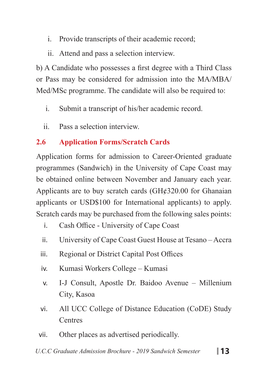- i. Provide transcripts of their academic record;
- ii. Attend and pass a selection interview.

b) A Candidate who possesses a first degree with a Third Class or Pass may be considered for admission into the MA/MBA/ Med/MSc programme. The candidate will also be required to:

- i. Submit a transcript of his/her academic record.
- ii. Pass a selection interview.

## **2.6 Application Forms/Scratch Cards**

Application forms for admission to Career-Oriented graduate programmes (Sandwich) in the University of Cape Coast may be obtained online between November and January each year. Applicants are to buy scratch cards (GH¢320.00 for Ghanaian applicants or USD\$100 for International applicants) to apply. Scratch cards may be purchased from the following sales points:

- i. Cash Office University of Cape Coast
- ii. University of Cape Coast Guest House at Tesano Accra
- iii. Regional or District Capital Post Offices
- iv. Kumasi Workers College Kumasi
- v. I-J Consult, Apostle Dr. Baidoo Avenue Millenium City, Kasoa
- vi. All UCC College of Distance Education (CoDE) Study **Centres**
- vii. Other places as advertised periodically.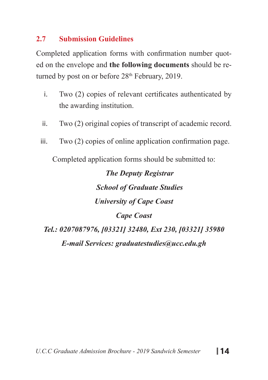#### **2.7 Submission Guidelines**

Completed application forms with confirmation number quoted on the envelope and **the following documents** should be returned by post on or before  $28<sup>th</sup>$  February, 2019.

- i. Two (2) copies of relevant certificates authenticated by the awarding institution.
- ii. Two (2) original copies of transcript of academic record.
- iii. Two (2) copies of online application confirmation page.

Completed application forms should be submitted to:

# *The Deputy Registrar School of Graduate Studies University of Cape Coast Cape Coast Tel.: 0207087976, [03321] 32480, Ext 230, [03321] 35980 E-mail Services: graduatestudies@ucc.edu.gh*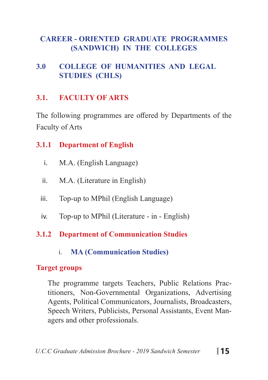### **CAREER - ORIENTED GRADUATE PROGRAMMES (SANDWICH) IN THE COLLEGES**

### **3.0 COLLEGE OF HUMANITIES AND LEGAL STUDIES (CHLS)**

### **3.1. FACULTY OF ARTS**

The following programmes are offered by Departments of the Faculty of Arts

### **3.1.1 Department of English**

- i. M.A. (English Language)
- ii. M.A. (Literature in English)
- iii. Top-up to MPhil (English Language)
- iv. Top-up to MPhil (Literature in English)

## **3.1.2 Department of Communication Studies**

i. **MA (Communication Studies)**

### **Target groups**

The programme targets Teachers, Public Relations Practitioners, Non-Governmental Organizations, Advertising Agents, Political Communicators, Journalists, Broadcasters, Speech Writers, Publicists, Personal Assistants, Event Managers and other professionals.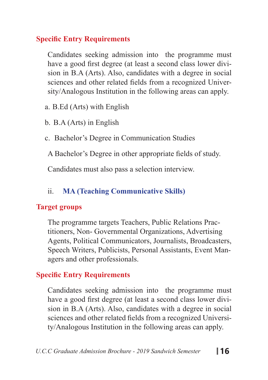## **Specific Entry Requirements**

Candidates seeking admission into the programme must have a good first degree (at least a second class lower division in B.A (Arts). Also, candidates with a degree in social sciences and other related fields from a recognized University/Analogous Institution in the following areas can apply.

a. B.Ed (Arts) with English

b. B.A (Arts) in English

c. Bachelor's Degree in Communication Studies

A Bachelor's Degree in other appropriate fields of study.

Candidates must also pass a selection interview.

## ii. **MA (Teaching Communicative Skills)**

### **Target groups**

The programme targets Teachers, Public Relations Practitioners, Non- Governmental Organizations, Advertising Agents, Political Communicators, Journalists, Broadcasters, Speech Writers, Publicists, Personal Assistants, Event Managers and other professionals.

### **Specific Entry Requirements**

Candidates seeking admission into the programme must have a good first degree (at least a second class lower division in B.A (Arts). Also, candidates with a degree in social sciences and other related fields from a recognized University/Analogous Institution in the following areas can apply.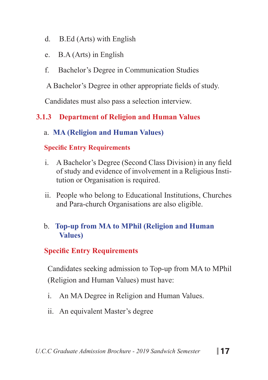- d. B.Ed (Arts) with English
- e. B.A (Arts) in English
- f. Bachelor's Degree in Communication Studies

A Bachelor's Degree in other appropriate fields of study.

Candidates must also pass a selection interview.

## **3.1.3 Department of Religion and Human Values**

a. **MA (Religion and Human Values)**

#### **Specific Entry Requirements**

- i. A Bachelor's Degree (Second Class Division) in any field of study and evidence of involvement in a Religious Institution or Organisation is required.
- ii. People who belong to Educational Institutions, Churches and Para-church Organisations are also eligible.

#### b. **Top-up from MA to MPhil (Religion and Human Values)**

### **Specific Entry Requirements**

Candidates seeking admission to Top-up from MA to MPhil (Religion and Human Values) must have:

- i. An MA Degree in Religion and Human Values.
- ii. An equivalent Master's degree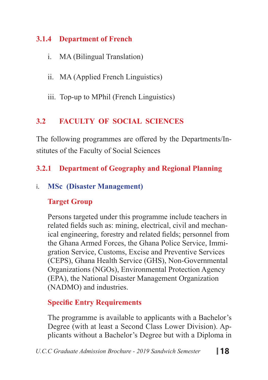### **3.1.4 Department of French**

- i. MA (Bilingual Translation)
- ii. MA (Applied French Linguistics)
- iii. Top-up to MPhil (French Linguistics)

## **3.2 FACULTY OF SOCIAL SCIENCES**

The following programmes are offered by the Departments/Institutes of the Faculty of Social Sciences

## **3.2.1 Department of Geography and Regional Planning**

## i. **MSc (Disaster Management)**

## **Target Group**

Persons targeted under this programme include teachers in related fields such as: mining, electrical, civil and mechanical engineering, forestry and related fields; personnel from the Ghana Armed Forces, the Ghana Police Service, Immigration Service, Customs, Excise and Preventive Services (CEPS), Ghana Health Service (GHS), Non-Governmental Organizations (NGOs), Environmental Protection Agency (EPA), the National Disaster Management Organization (NADMO) and industries.

## **Specific Entry Requirements**

The programme is available to applicants with a Bachelor's Degree (with at least a Second Class Lower Division). Applicants without a Bachelor's Degree but with a Diploma in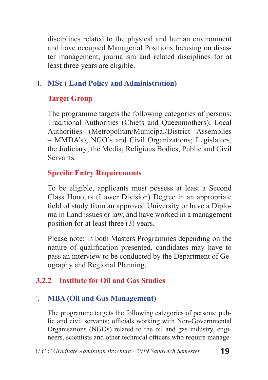disciplines related to the physical and human environment and have occupied Managerial Positions focusing on disaster management, journalism and related disciplines for at least three years are eligible.

## ii. **MSc ( Land Policy and Administration)**

## **Target Group**

The programme targets the following categories of persons: Traditional Authorities (Chiefs and Queenmothers); Local Authorities (Metropolitan/Municipal/District Assemblies – MMDA's); NGO's and Civil Organizations; Legislators, the Judiciary; the Media; Religious Bodies, Public and Civil Servants.

## **Specific Entry Requirements**

To be eligible, applicants must possess at least a Second Class Honours (Lower Division) Degree in an appropriate field of study from an approved University or have a Diploma in Land issues or law, and have worked in a management position for at least three (3) years.

Please note: in both Masters Programmes depending on the nature of qualification presented, candidates may have to pass an interview to be conducted by the Department of Geography and Regional Planning.

## **3.2.2 Institute for Oil and Gas Studies**

## i. **MBA (Oil and Gas Management)**

The programme targets the following categories of persons: public and civil servants; officials working with Non-Governmental Organisations (NGOs) related to the oil and gas industry, engineers, scientists and other technical officers who require manage-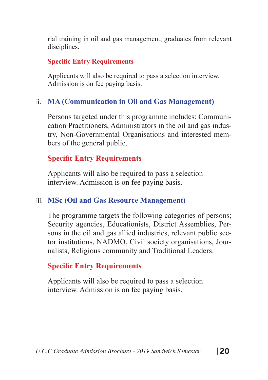rial training in oil and gas management, graduates from relevant disciplines.

#### **Specific Entry Requirements**

Applicants will also be required to pass a selection interview. Admission is on fee paying basis.

#### ii. **MA (Communication in Oil and Gas Management)**

Persons targeted under this programme includes: Communication Practitioners, Administrators in the oil and gas industry, Non-Governmental Organisations and interested members of the general public.

#### **Specific Entry Requirements**

Applicants will also be required to pass a selection interview. Admission is on fee paying basis.

#### iii. **MSc (Oil and Gas Resource Management)**

The programme targets the following categories of persons; Security agencies, Educationists, District Assemblies, Persons in the oil and gas allied industries, relevant public sector institutions, NADMO, Civil society organisations, Journalists, Religious community and Traditional Leaders.

### **Specific Entry Requirements**

Applicants will also be required to pass a selection interview. Admission is on fee paying basis.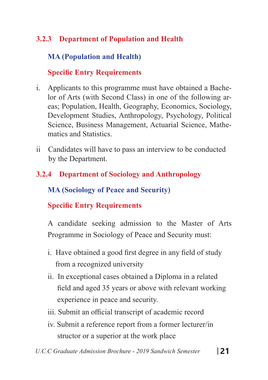## **3.2.3 Department of Population and Health**

## **MA (Population and Health)**

### **Specific Entry Requirements**

- i. Applicants to this programme must have obtained a Bachelor of Arts (with Second Class) in one of the following areas; Population, Health, Geography, Economics, Sociology, Development Studies, Anthropology, Psychology, Political Science, Business Management, Actuarial Science, Mathematics and Statistics.
- ii Candidates will have to pass an interview to be conducted by the Department.
- **3.2.4 Department of Sociology and Anthropology**

 **MA (Sociology of Peace and Security)**

## **Specific Entry Requirements**

A candidate seeking admission to the Master of Arts Programme in Sociology of Peace and Security must:

- i. Have obtained a good first degree in any field of study from a recognized university
- ii. In exceptional cases obtained a Diploma in a related field and aged 35 years or above with relevant working experience in peace and security.
- iii. Submit an official transcript of academic record
- iv. Submit a reference report from a former lecturer/in structor or a superior at the work place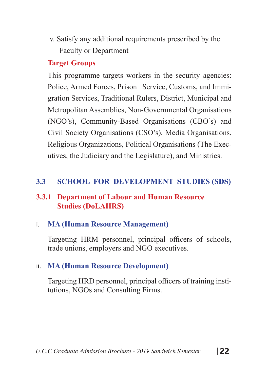v. Satisfy any additional requirements prescribed by the Faculty or Department

#### **Target Groups**

This programme targets workers in the security agencies: Police, Armed Forces, Prison Service, Customs, and Immigration Services, Traditional Rulers, District, Municipal and Metropolitan Assemblies, Non-Governmental Organisations (NGO's), Community-Based Organisations (CBO's) and Civil Society Organisations (CSO's), Media Organisations, Religious Organizations, Political Organisations (The Executives, the Judiciary and the Legislature), and Ministries.

#### **3.3 SCHOOL FOR DEVELOPMENT STUDIES (SDS)**

#### **3.3.1 Department of Labour and Human Resource Studies (DoLAHRS)**

#### i. **MA (Human Resource Management)**

Targeting HRM personnel, principal officers of schools, trade unions, employers and NGO executives.

#### ii. **MA (Human Resource Development)**

Targeting HRD personnel, principal officers of training institutions, NGOs and Consulting Firms.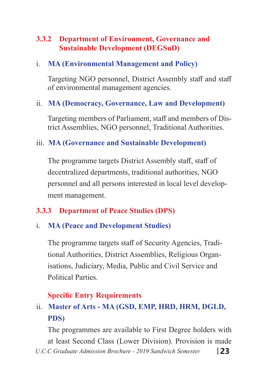### **3.3.2 Department of Environment, Governance and Sustainable Development (DEGSuD)**

#### i. **MA (Environmental Management and Policy)**

Targeting NGO personnel, District Assembly staff and staff of environmental management agencies.

### ii. **MA (Democracy, Governance, Law and Development)**

Targeting members of Parliament, staff and members of District Assemblies, NGO personnel, Traditional Authorities.

#### iii. **MA (Governance and Sustainable Development)**

The programme targets District Assembly staff, staff of decentralized departments, traditional authorities, NGO personnel and all persons interested in local level development management.

### **3.3.3 Department of Peace Studies (DPS)**

#### i. **MA (Peace and Development Studies)**

The programme targets staff of Security Agencies, Traditional Authorities, District Assemblies, Religious Organisations, Judiciary, Media, Public and Civil Service and Political Parties.

### **Specific Entry Requirements**

## ii. **Master of Arts - MA (GSD, EMP, HRD, HRM, DGLD, PDS)**

*U.C.C Graduate Admission Brochure - 2019 Sandwich Semester* **23** The programmes are available to First Degree holders with at least Second Class (Lower Division). Provision is made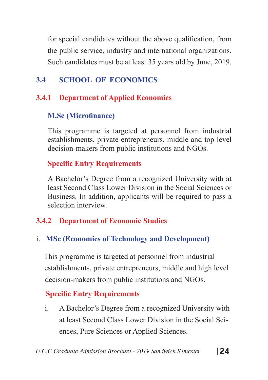for special candidates without the above qualification, from the public service, industry and international organizations. Such candidates must be at least 35 years old by June, 2019.

## **3.4 SCHOOL OF ECONOMICS**

## **3.4.1 Department of Applied Economics**

## **M.Sc (Microfinance)**

This programme is targeted at personnel from industrial establishments, private entrepreneurs, middle and top level decision-makers from public institutions and NGOs.

## **Specific Entry Requirements**

A Bachelor's Degree from a recognized University with at least Second Class Lower Division in the Social Sciences or Business. In addition, applicants will be required to pass a selection interview.

## **3.4.2 Department of Economic Studies**

## i. **MSc (Economics of Technology and Development)**

 This programme is targeted at personnel from industrial establishments, private entrepreneurs, middle and high level decision-makers from public institutions and NGOs.

## **Specific Entry Requirements**

i. A Bachelor's Degree from a recognized University with at least Second Class Lower Division in the Social Sciences, Pure Sciences or Applied Sciences.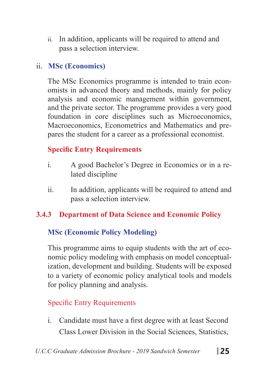ii. In addition, applicants will be required to attend and pass a selection interview.

### ii. **MSc (Economics)**

The MSc Economics programme is intended to train economists in advanced theory and methods, mainly for policy analysis and economic management within government, and the private sector. The programme provides a very good foundation in core disciplines such as Microeconomics, Macroeconomics, Econometrics and Mathematics and prepares the student for a career as a professional economist.

## **Specific Entry Requirements**

- i. A good Bachelor's Degree in Economics or in a related discipline
- ii. In addition, applicants will be required to attend and pass a selection interview.

## **3.4.3 Department of Data Science and Economic Policy**

## **MSc (Economic Policy Modeling)**

This programme aims to equip students with the art of economic policy modeling with emphasis on model conceptualization, development and building. Students will be exposed to a variety of economic policy analytical tools and models for policy planning and analysis.

## **Specific Entry Requirements**

i. Candidate must have a first degree with at least Second Class Lower Division in the Social Sciences, Statistics,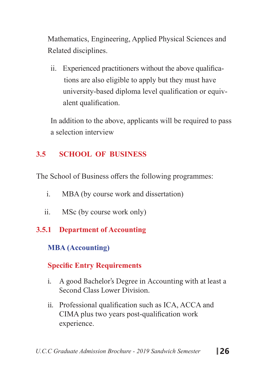Mathematics, Engineering, Applied Physical Sciences and Related disciplines.

ii. Experienced practitioners without the above qualifica tions are also eligible to apply but they must have university-based diploma level qualification or equiv alent qualification.

In addition to the above, applicants will be required to pass a selection interview

## **3.5 SCHOOL OF BUSINESS**

The School of Business offers the following programmes:

- i. MBA (by course work and dissertation)
- ii. MSc (by course work only)
- **3.5.1 Department of Accounting**

## **MBA (Accounting)**

## **Specific Entry Requirements**

- i. A good Bachelor's Degree in Accounting with at least a Second Class Lower Division.
- ii. Professional qualification such as ICA, ACCA and CIMA plus two years post-qualification work experience.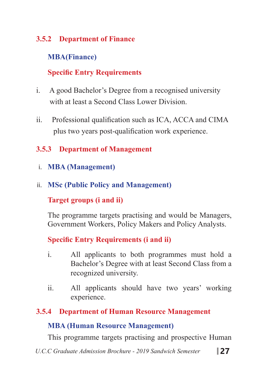### **3.5.2 Department of Finance**

### **MBA(Finance)**

## **Specific Entry Requirements**

- i. A good Bachelor's Degree from a recognised university with at least a Second Class Lower Division.
- ii. Professional qualification such as ICA, ACCA and CIMA plus two years post-qualification work experience.

### **3.5.3 Department of Management**

- i. **MBA (Management)**
- ii. **MSc (Public Policy and Management)**

### **Target groups (i and ii)**

The programme targets practising and would be Managers, Government Workers, Policy Makers and Policy Analysts.

### **Specific Entry Requirements (i and ii)**

- i. All applicants to both programmes must hold a Bachelor's Degree with at least Second Class from a recognized university.
- ii. All applicants should have two years' working experience.

### **3.5.4 Department of Human Resource Management**

### **MBA (Human Resource Management)**

This programme targets practising and prospective Human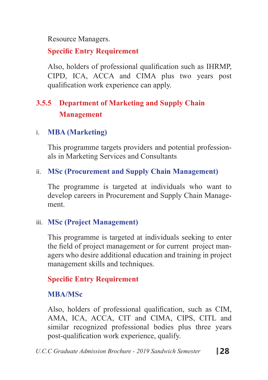Resource Managers.

## **Specific Entry Requirement**

Also, holders of professional qualification such as IHRMP, CIPD, ICA, ACCA and CIMA plus two years post qualification work experience can apply.

## **3.5.5 Department of Marketing and Supply Chain Management**

#### i. **MBA (Marketing)**

This programme targets providers and potential professionals in Marketing Services and Consultants

#### ii. **MSc (Procurement and Supply Chain Management)**

The programme is targeted at individuals who want to develop careers in Procurement and Supply Chain Management.

#### iii. **MSc (Project Management)**

This programme is targeted at individuals seeking to enter the field of project management or for current project managers who desire additional education and training in project management skills and techniques.

### **Specific Entry Requirement**

### **MBA/MSc**

Also, holders of professional qualification, such as CIM, AMA, ICA, ACCA, CIT and CIMA, CIPS, CITL and similar recognized professional bodies plus three years post-qualification work experience, qualify.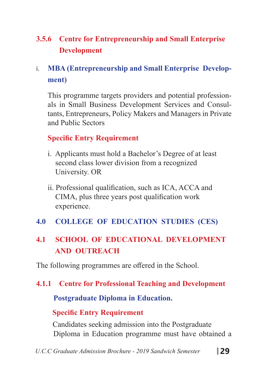## **3.5.6 Centre for Entrepreneurship and Small Enterprise Development**

## i. **MBA (Entrepreneurship and Small Enterprise Development)**

This programme targets providers and potential professionals in Small Business Development Services and Consultants, Entrepreneurs, Policy Makers and Managers in Private and Public Sectors

### **Specific Entry Requirement**

- i. Applicants must hold a Bachelor's Degree of at least second class lower division from a recognized University. OR
- ii. Professional qualification, such as ICA, ACCA and CIMA, plus three years post qualification work experience.
- **4.0 COLLEGE OF EDUCATION STUDIES (CES)**

## **4.1 SCHOOL OF EDUCATIONAL DEVELOPMENT AND OUTREACH**

The following programmes are offered in the School.

### **4.1.1 Centre for Professional Teaching and Development**

### **Postgraduate Diploma in Education.**

## **Specific Entry Requirement**

 Candidates seeking admission into the Postgraduate Diploma in Education programme must have obtained a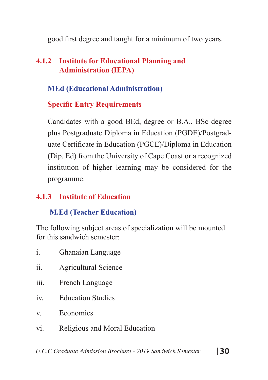good first degree and taught for a minimum of two years.

### **4.1.2 Institute for Educational Planning and Administration (IEPA)**

### **MEd (Educational Administration)**

### **Specific Entry Requirements**

Candidates with a good BEd, degree or B.A., BSc degree plus Postgraduate Diploma in Education (PGDE)/Postgraduate Certificate in Education (PGCE)/Diploma in Education (Dip. Ed) from the University of Cape Coast or a recognized institution of higher learning may be considered for the programme.

### **4.1.3 Institute of Education**

## **M.Ed (Teacher Education)**

The following subject areas of specialization will be mounted for this sandwich semester:

- i. Ghanaian Language
- ii. Agricultural Science
- iii. French Language
- iv. Education Studies
- v. Economics
- vi. Religious and Moral Education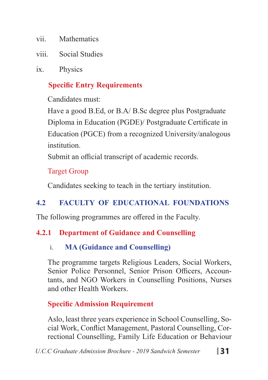- vii. Mathematics
- viii. Social Studies
- ix. Physics

## **Specific Entry Requirements**

Candidates must:

Have a good B.Ed, or B.A/ B.Sc degree plus Postgraduate Diploma in Education (PGDE)/ Postgraduate Certificate in Education (PGCE) from a recognized University/analogous institution.

Submit an official transcript of academic records.

### Target Group

Candidates seeking to teach in the tertiary institution.

## **4.2 FACULTY OF EDUCATIONAL FOUNDATIONS**

The following programmes are offered in the Faculty.

## **4.2.1 Department of Guidance and Counselling**

## i. **MA (Guidance and Counselling)**

The programme targets Religious Leaders, Social Workers, Senior Police Personnel, Senior Prison Officers, Accountants, and NGO Workers in Counselling Positions, Nurses and other Health Workers.

**Specific Admission Requirement**

Aslo, least three years experience in School Counselling, Social Work, Conflict Management, Pastoral Counselling, Correctional Counselling, Family Life Education or Behaviour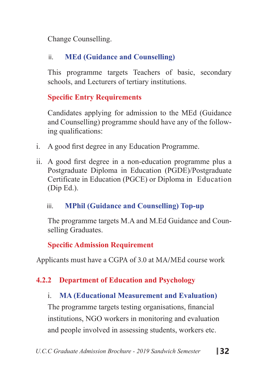Change Counselling.

## ii. **MEd (Guidance and Counselling)**

This programme targets Teachers of basic, secondary schools, and Lecturers of tertiary institutions.

## **Specific Entry Requirements**

Candidates applying for admission to the MEd (Guidance and Counselling) programme should have any of the following qualifications:

- i. A good first degree in any Education Programme.
- ii. A good first degree in a non-education programme plus a Postgraduate Diploma in Education (PGDE)/Postgraduate Certificate in Education (PGCE) or Diploma in Education (Dip Ed.).

## iii. **MPhil (Guidance and Counselling) Top-up**

The programme targets M.A and M.Ed Guidance and Counselling Graduates.

## **Specific Admission Requirement**

Applicants must have a CGPA of 3.0 at MA/MEd course work

## **4.2.2 Department of Education and Psychology**

## i. **MA (Educational Measurement and Evaluation)**

The programme targets testing organisations, financial institutions, NGO workers in monitoring and evaluation and people involved in assessing students, workers etc.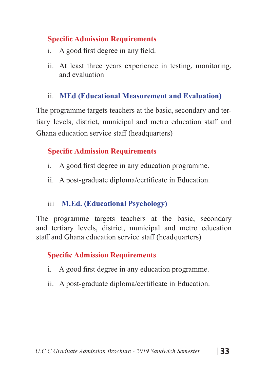#### **Specific Admission Requirements**

- i. A good first degree in any field.
- ii. At least three years experience in testing, monitoring, and evaluation

### ii. **MEd (Educational Measurement and Evaluation)**

The programme targets teachers at the basic, secondary and tertiary levels, district, municipal and metro education staff and Ghana education service staff (headquarters)

### **Specific Admission Requirements**

- i. A good first degree in any education programme.
- ii. A post-graduate diploma/certificate in Education.

## iii **M.Ed. (Educational Psychology)**

The programme targets teachers at the basic, secondary and tertiary levels, district, municipal and metro education staff and Ghana education service staff (headquarters)

## **Specific Admission Requirements**

- i. A good first degree in any education programme.
- ii. A post-graduate diploma/certificate in Education.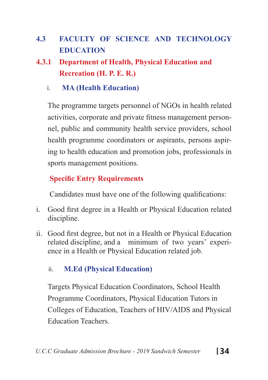- **4.3 FACULTY OF SCIENCE AND TECHNOLOGY EDUCATION**
- **4.3.1 Department of Health, Physical Education and Recreation (H. P. E. R.)**
	- i. **MA (Health Education)**

The programme targets personnel of NGOs in health related activities, corporate and private fitness management personnel, public and community health service providers, school health programme coordinators or aspirants, persons aspiring to health education and promotion jobs, professionals in sports management positions.

### **Specific Entry Requirements**

Candidates must have one of the following qualifications:

- i. Good first degree in a Health or Physical Education related discipline.
- ii. Good first degree, but not in a Health or Physical Education related discipline, and a minimum of two years' experience in a Health or Physical Education related job.

### ii. **M.Ed (Physical Education)**

Targets Physical Education Coordinators, School Health Programme Coordinators, Physical Education Tutors in Colleges of Education, Teachers of HIV/AIDS and Physical Education Teachers.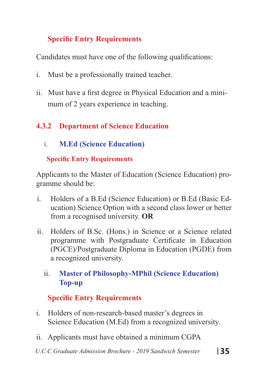## **Specific Entry Requirements**

Candidates must have one of the following qualifications:

- i. Must be a professionally trained teacher.
- ii. Must have a first degree in Physical Education and a mini mum of 2 years experience in teaching.

## **4.3.2 Department of Science Education**

i. **M.Ed (Science Education)** 

### **Specific Entry Requirements**

Applicants to the Master of Education (Science Education) programme should be:

- i. Holders of a B.Ed (Science Education) or B.Ed (Basic Education) Science Option with a second class lower or better from a recognised university. **OR**
- ii. Holders of B.Sc. (Hons.) in Science or a Science related programme with Postgraduate Certificate in Education (PGCE)/Postgraduate Diploma in Education (PGDE) from a recognized university.

### ii. **Master of Philosophy-MPhil (Science Education) Top-up**

## **Specific Entry Requirements**

- i. Holders of non-research-based master's degrees in Science Education (M.Ed) from a recognized university.
- ii. Applicants must have obtained a minimum CGPA
- *U.C.C Graduate Admission Brochure 2019 Sandwich Semester* **35**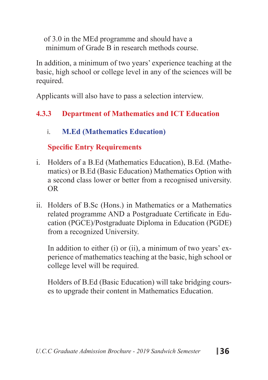of 3.0 in the MEd programme and should have a minimum of Grade B in research methods course.

In addition, a minimum of two years' experience teaching at the basic, high school or college level in any of the sciences will be required.

Applicants will also have to pass a selection interview.

## **4.3.3 Department of Mathematics and ICT Education**

### i. **M.Ed (Mathematics Education)**

## **Specific Entry Requirements**

- i. Holders of a B.Ed (Mathematics Education), B.Ed. (Mathematics) or B.Ed (Basic Education) Mathematics Option with a second class lower or better from a recognised university. OR
- ii. Holders of B.Sc (Hons.) in Mathematics or a Mathematics related programme AND a Postgraduate Certificate in Education (PGCE)/Postgraduate Diploma in Education (PGDE) from a recognized University.

In addition to either (i) or (ii), a minimum of two years' experience of mathematics teaching at the basic, high school or college level will be required.

Holders of B.Ed (Basic Education) will take bridging courses to upgrade their content in Mathematics Education.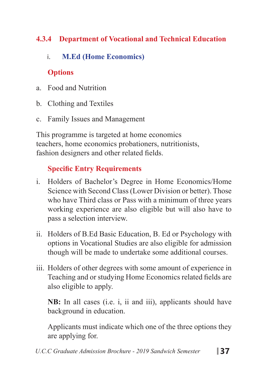## **4.3.4 Department of Vocational and Technical Education**

## i. **M.Ed (Home Economics)**

## **Options**

- a. Food and Nutrition
- b. Clothing and Textiles
- c. Family Issues and Management

This programme is targeted at home economics teachers, home economics probationers, nutritionists, fashion designers and other related fields.

## **Specific Entry Requirements**

- i. Holders of Bachelor's Degree in Home Economics/Home Science with Second Class (Lower Division or better). Those who have Third class or Pass with a minimum of three years working experience are also eligible but will also have to pass a selection interview.
- ii. Holders of B.Ed Basic Education, B. Ed or Psychology with options in Vocational Studies are also eligible for admission though will be made to undertake some additional courses.
- iii. Holders of other degrees with some amount of experience in Teaching and or studying Home Economics related fields are also eligible to apply.

**NB:** In all cases (i.e. i, ii and iii), applicants should have background in education.

Applicants must indicate which one of the three options they are applying for.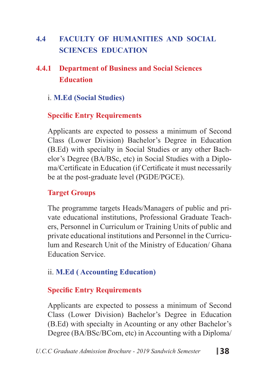## **4.4 FACULTY OF HUMANITIES AND SOCIAL SCIENCES EDUCATION**

## **4.4.1 Department of Business and Social Sciences Education**

#### i. **M.Ed (Social Studies)**

### **Specific Entry Requirements**

Applicants are expected to possess a minimum of Second Class (Lower Division) Bachelor's Degree in Education (B.Ed) with specialty in Social Studies or any other Bachelor's Degree (BA/BSc, etc) in Social Studies with a Diploma/Certificate in Education (if Certificate it must necessarily be at the post-graduate level (PGDE/PGCE).

#### **Target Groups**

The programme targets Heads/Managers of public and private educational institutions, Professional Graduate Teachers, Personnel in Curriculum or Training Units of public and private educational institutions and Personnel in the Curriculum and Research Unit of the Ministry of Education/ Ghana Education Service.

#### ii. **M.Ed ( Accounting Education)**

#### **Specific Entry Requirements**

Applicants are expected to possess a minimum of Second Class (Lower Division) Bachelor's Degree in Education (B.Ed) with specialty in Acounting or any other Bachelor's Degree (BA/BSc/BCom, etc) in Accounting with a Diploma/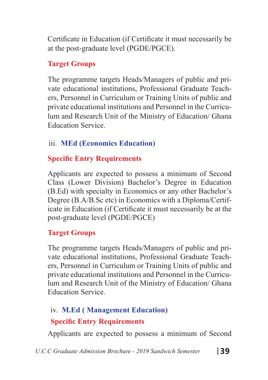Certificate in Education (if Certificate it must necessarily be at the post-graduate level (PGDE/PGCE).

### **Target Groups**

The programme targets Heads/Managers of public and private educational institutions, Professional Graduate Teachers, Personnel in Curriculum or Training Units of public and private educational institutions and Personnel in the Curriculum and Research Unit of the Ministry of Education/ Ghana Education Service.

## iii. **MEd (Economics Education)**

## **Specific Entry Requirements**

Applicants are expected to possess a minimum of Second Class (Lower Division) Bachelor's Degree in Education (B.Ed) with specialty in Economics or any other Bachelor's Degree (B.A/B.Sc etc) in Economics with a Diploma/Certificate in Education (if Certificate it must necessarily be at the post-graduate level (PGDE/PGCE)

## **Target Groups**

The programme targets Heads/Managers of public and private educational institutions, Professional Graduate Teachers, Personnel in Curriculum or Training Units of public and private educational institutions and Personnel in the Curriculum and Research Unit of the Ministry of Education/ Ghana Education Service.

## iv. **M.Ed ( Management Education) Specific Entry Requirements**

Applicants are expected to possess a minimum of Second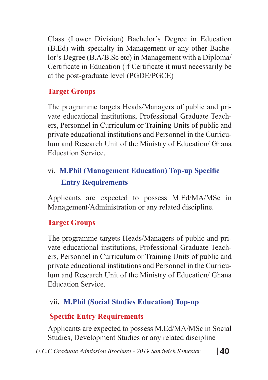Class (Lower Division) Bachelor's Degree in Education (B.Ed) with specialty in Management or any other Bachelor's Degree (B.A/B.Sc etc) in Management with a Diploma/ Certificate in Education (if Certificate it must necessarily be at the post-graduate level (PGDE/PGCE)

## **Target Groups**

The programme targets Heads/Managers of public and private educational institutions, Professional Graduate Teachers, Personnel in Curriculum or Training Units of public and private educational institutions and Personnel in the Curriculum and Research Unit of the Ministry of Education/ Ghana Education Service.

## vi. **M.Phil (Management Education) Top-up Specific Entry Requirements**

Applicants are expected to possess M.Ed/MA/MSc in Management/Administration or any related discipline.

## **Target Groups**

The programme targets Heads/Managers of public and private educational institutions, Professional Graduate Teachers, Personnel in Curriculum or Training Units of public and private educational institutions and Personnel in the Curriculum and Research Unit of the Ministry of Education/ Ghana Education Service.

## vii**. M.Phil (Social Studies Education) Top-up**

## **Specific Entry Requirements**

Applicants are expected to possess M.Ed/MA/MSc in Social Studies, Development Studies or any related discipline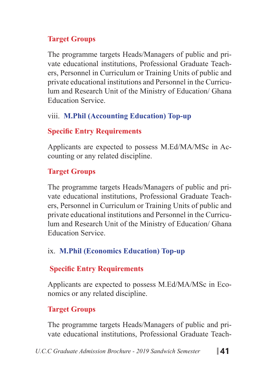### **Target Groups**

The programme targets Heads/Managers of public and private educational institutions, Professional Graduate Teachers, Personnel in Curriculum or Training Units of public and private educational institutions and Personnel in the Curriculum and Research Unit of the Ministry of Education/ Ghana Education Service.

## viii. **M.Phil (Accounting Education) Top-up**

## **Specific Entry Requirements**

Applicants are expected to possess M.Ed/MA/MSc in Accounting or any related discipline.

## **Target Groups**

The programme targets Heads/Managers of public and private educational institutions, Professional Graduate Teachers, Personnel in Curriculum or Training Units of public and private educational institutions and Personnel in the Curriculum and Research Unit of the Ministry of Education/ Ghana Education Service.

## ix. **M.Phil (Economics Education) Top-up**

## **Specific Entry Requirements**

Applicants are expected to possess M.Ed/MA/MSc in Economics or any related discipline.

## **Target Groups**

The programme targets Heads/Managers of public and private educational institutions, Professional Graduate Teach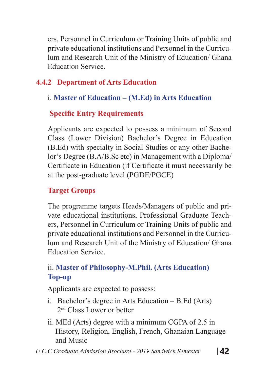ers, Personnel in Curriculum or Training Units of public and private educational institutions and Personnel in the Curriculum and Research Unit of the Ministry of Education/ Ghana Education Service.

## **4.4.2 Department of Arts Education**

## i. **Master of Education – (M.Ed) in Arts Education**

## **Specific Entry Requirements**

Applicants are expected to possess a minimum of Second Class (Lower Division) Bachelor's Degree in Education (B.Ed) with specialty in Social Studies or any other Bachelor's Degree (B.A/B.Sc etc) in Management with a Diploma/ Certificate in Education (if Certificate it must necessarily be at the post-graduate level (PGDE/PGCE)

## **Target Groups**

The programme targets Heads/Managers of public and private educational institutions, Professional Graduate Teachers, Personnel in Curriculum or Training Units of public and private educational institutions and Personnel in the Curriculum and Research Unit of the Ministry of Education/ Ghana Education Service.

## ii. **Master of Philosophy-M.Phil. (Arts Education) Top-up**

Applicants are expected to possess:

- i. Bachelor's degree in Arts Education B.Ed (Arts) 2nd Class Lower or better
- ii. MEd (Arts) degree with a minimum CGPA of 2.5 in History, Religion, English, French, Ghanaian Language and Music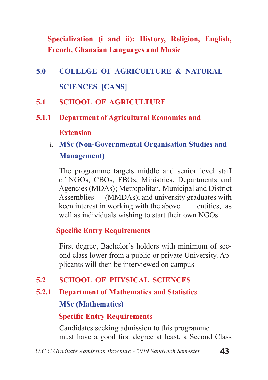**Specialization (i and ii): History, Religion, English, French, Ghanaian Languages and Music**

- **5.0 COLLEGE OF AGRICULTURE & NATURAL SCIENCES [CANS]**
- **5.1 SCHOOL OF AGRICULTURE**
- **5.1.1 Department of Agricultural Economics and**

**Extension**

i. **MSc (Non-Governmental Organisation Studies and Management)** 

The programme targets middle and senior level staff of NGOs, CBOs, FBOs, Ministries, Departments and Agencies (MDAs); Metropolitan, Municipal and District Assemblies (MMDAs); and university graduates with keen interest in working with the above entities, as well as individuals wishing to start their own NGOs.

#### **Specific Entry Requirements**

First degree, Bachelor's holders with minimum of second class lower from a public or private University. Applicants will then be interviewed on campus

## **5.2 SCHOOL OF PHYSICAL SCIENCES**

**5.2.1 Department of Mathematics and Statistics MSc (Mathematics)**

### **Specific Entry Requirements**

Candidates seeking admission to this programme must have a good first degree at least, a Second Class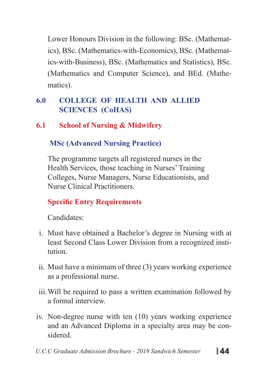Lower Honours Division in the following: BSc. (Mathematics), BSc. (Mathematics-with-Economics), BSc. (Mathematics-with-Business), BSc. (Mathematics and Statistics), BSc. (Mathematics and Computer Science), and BEd. (Mathematics).

## **6.0 COLLEGE OF HEALTH AND ALLIED SCIENCES (CoHAS)**

## **6.1 School of Nursing & Midwifery**

### **MSc (Advanced Nursing Practice)**

The programme targets all registered nurses in the Health Services, those teaching in Nurses' Training Colleges, Nurse Managers, Nurse Educationists, and Nurse Clinical Practitioners.

## **Specific Entry Requirements**

Candidates:

- i. Must have obtained a Bachelor's degree in Nursing with at least Second Class Lower Division from a recognized institution.
- ii. Must have a minimum of three (3) years working experience as a professional nurse.
- iii.Will be required to pass a written examination followed by a formal interview.
- iv. Non-degree nurse with ten (10) years working experience and an Advanced Diploma in a specialty area may be considered.
- *U.C.C Graduate Admission Brochure 2019 Sandwich Semester* **44**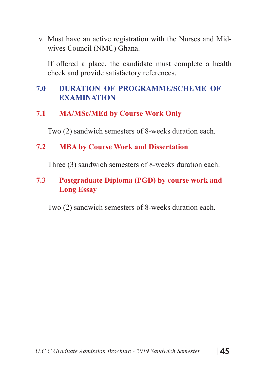v. Must have an active registration with the Nurses and Midwives Council (NMC) Ghana.

If offered a place, the candidate must complete a health check and provide satisfactory references.

### **7.0 DURATION OF PROGRAMME/SCHEME OF EXAMINATION**

**7.1 MA/MSc/MEd by Course Work Only**

Two (2) sandwich semesters of 8-weeks duration each.

#### **7.2 MBA by Course Work and Dissertation**

Three (3) sandwich semesters of 8-weeks duration each.

### **7.3 Postgraduate Diploma (PGD) by course work and Long Essay**

Two (2) sandwich semesters of 8-weeks duration each.